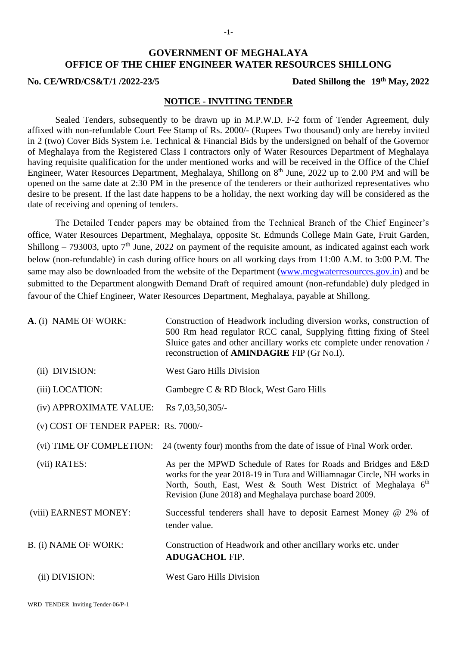# **GOVERNMENT OF MEGHALAYA OFFICE OF THE CHIEF ENGINEER WATER RESOURCES SHILLONG**

#### **No. CE/WRD/CS&T/1 /2022-23/5**

Dated Shillong the 19<sup>th</sup> May, 2022

### **NOTICE - INVITING TENDER**

Sealed Tenders, subsequently to be drawn up in M.P.W.D. F-2 form of Tender Agreement, duly affixed with non-refundable Court Fee Stamp of Rs. 2000/- (Rupees Two thousand) only are hereby invited in 2 (two) Cover Bids System i.e. Technical & Financial Bids by the undersigned on behalf of the Governor of Meghalaya from the Registered Class I contractors only of Water Resources Department of Meghalaya having requisite qualification for the under mentioned works and will be received in the Office of the Chief Engineer, Water Resources Department, Meghalaya, Shillong on 8<sup>th</sup> June, 2022 up to 2.00 PM and will be opened on the same date at 2:30 PM in the presence of the tenderers or their authorized representatives who desire to be present. If the last date happens to be a holiday, the next working day will be considered as the date of receiving and opening of tenders.

The Detailed Tender papers may be obtained from the Technical Branch of the Chief Engineer's office, Water Resources Department, Meghalaya, opposite St. Edmunds College Main Gate, Fruit Garden, Shillong  $-793003$ , upto  $7<sup>th</sup>$  June, 2022 on payment of the requisite amount, as indicated against each work below (non-refundable) in cash during office hours on all working days from 11:00 A.M. to 3:00 P.M. The same may also be downloaded from the website of the Department [\(www.megwaterresources.gov.in\)](http://www.megwaterresources.gov.in/) and be submitted to the Department alongwith Demand Draft of required amount (non-refundable) duly pledged in favour of the Chief Engineer, Water Resources Department, Meghalaya, payable at Shillong.

| A. (i) NAME OF WORK:                 | Construction of Headwork including diversion works, construction of<br>500 Rm head regulator RCC canal, Supplying fitting fixing of Steel<br>Sluice gates and other ancillary works etc complete under renovation /<br>reconstruction of <b>AMINDAGRE</b> FIP (Gr No.I). |
|--------------------------------------|--------------------------------------------------------------------------------------------------------------------------------------------------------------------------------------------------------------------------------------------------------------------------|
| (ii) DIVISION:                       | <b>West Garo Hills Division</b>                                                                                                                                                                                                                                          |
| (iii) LOCATION:                      | Gambegre C & RD Block, West Garo Hills                                                                                                                                                                                                                                   |
| (iv) APPROXIMATE VALUE:              | Rs 7,03,50,305/-                                                                                                                                                                                                                                                         |
| (v) COST OF TENDER PAPER: Rs. 7000/- |                                                                                                                                                                                                                                                                          |
| (vi) TIME OF COMPLETION:             | 24 (twenty four) months from the date of issue of Final Work order.                                                                                                                                                                                                      |
| (vii) RATES:                         | As per the MPWD Schedule of Rates for Roads and Bridges and E&D<br>works for the year 2018-19 in Tura and Williamnagar Circle, NH works in<br>North, South, East, West & South West District of Meghalaya 6th<br>Revision (June 2018) and Meghalaya purchase board 2009. |
| (viii) EARNEST MONEY:                | Successful tenderers shall have to deposit Earnest Money @ 2% of<br>tender value.                                                                                                                                                                                        |
| B. (i) NAME OF WORK:                 | Construction of Headwork and other ancillary works etc. under<br><b>ADUGACHOL FIP.</b>                                                                                                                                                                                   |
| (ii) DIVISION:                       | <b>West Garo Hills Division</b>                                                                                                                                                                                                                                          |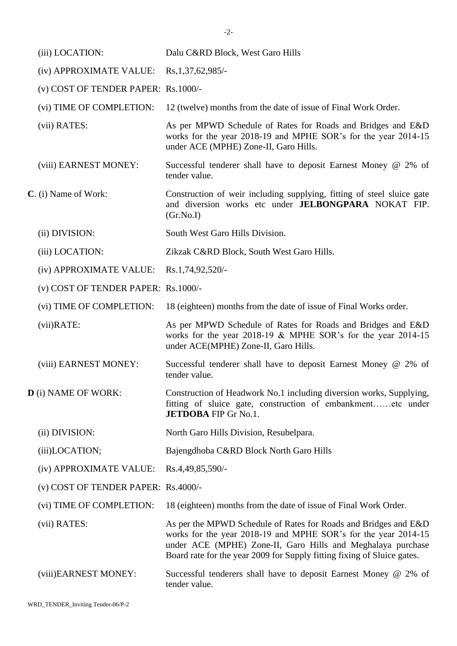| (iii) LOCATION:                     | Dalu C&RD Block, West Garo Hills                                                                                                                                                                                                                                            |
|-------------------------------------|-----------------------------------------------------------------------------------------------------------------------------------------------------------------------------------------------------------------------------------------------------------------------------|
| (iv) APPROXIMATE VALUE:             | Rs, 1, 37, 62, 985/                                                                                                                                                                                                                                                         |
| (v) COST OF TENDER PAPER: Rs.1000/- |                                                                                                                                                                                                                                                                             |
| (vi) TIME OF COMPLETION:            | 12 (twelve) months from the date of issue of Final Work Order.                                                                                                                                                                                                              |
| (vii) RATES:                        | As per MPWD Schedule of Rates for Roads and Bridges and E&D<br>works for the year 2018-19 and MPHE SOR's for the year 2014-15<br>under ACE (MPHE) Zone-II, Garo Hills.                                                                                                      |
| (viii) EARNEST MONEY:               | Successful tenderer shall have to deposit Earnest Money @ 2% of<br>tender value.                                                                                                                                                                                            |
| C. (i) Name of Work:                | Construction of weir including supplying, fitting of steel sluice gate<br>and diversion works etc under JELBONGPARA NOKAT FIP.<br>(Gr.No.I)                                                                                                                                 |
| (ii) DIVISION:                      | South West Garo Hills Division.                                                                                                                                                                                                                                             |
| (iii) LOCATION:                     | Zikzak C&RD Block, South West Garo Hills.                                                                                                                                                                                                                                   |
| (iv) APPROXIMATE VALUE:             | Rs.1,74,92,520/-                                                                                                                                                                                                                                                            |
| (v) COST OF TENDER PAPER: Rs.1000/- |                                                                                                                                                                                                                                                                             |
| (vi) TIME OF COMPLETION:            | 18 (eighteen) months from the date of issue of Final Works order.                                                                                                                                                                                                           |
| $(vii)$ RATE:                       | As per MPWD Schedule of Rates for Roads and Bridges and E&D<br>works for the year 2018-19 & MPHE SOR's for the year 2014-15<br>under ACE(MPHE) Zone-II, Garo Hills.                                                                                                         |
| (viii) EARNEST MONEY:               | Successful tenderer shall have to deposit Earnest Money @ 2% of<br>tender value.                                                                                                                                                                                            |
| <b>D</b> (i) NAME OF WORK:          | Construction of Headwork No.1 including diversion works, Supplying,<br>fitting of sluice gate, construction of embankmentetc under<br><b>JETDOBA FIP Gr No.1.</b>                                                                                                           |
| (ii) DIVISION:                      | North Garo Hills Division, Resubelpara.                                                                                                                                                                                                                                     |
| (iii)LOCATION;                      | Bajengdhoba C&RD Block North Garo Hills                                                                                                                                                                                                                                     |
| (iv) APPROXIMATE VALUE:             | Rs.4,49,85,590/-                                                                                                                                                                                                                                                            |
| (v) COST OF TENDER PAPER: Rs.4000/- |                                                                                                                                                                                                                                                                             |
| (vi) TIME OF COMPLETION:            | 18 (eighteen) months from the date of issue of Final Work Order.                                                                                                                                                                                                            |
| (vii) RATES:                        | As per the MPWD Schedule of Rates for Roads and Bridges and E&D<br>works for the year 2018-19 and MPHE SOR's for the year 2014-15<br>under ACE (MPHE) Zone-II, Garo Hills and Meghalaya purchase<br>Board rate for the year 2009 for Supply fitting fixing of Sluice gates. |
| (viii)EARNEST MONEY:                | Successful tenderers shall have to deposit Earnest Money @ 2% of<br>tender value.                                                                                                                                                                                           |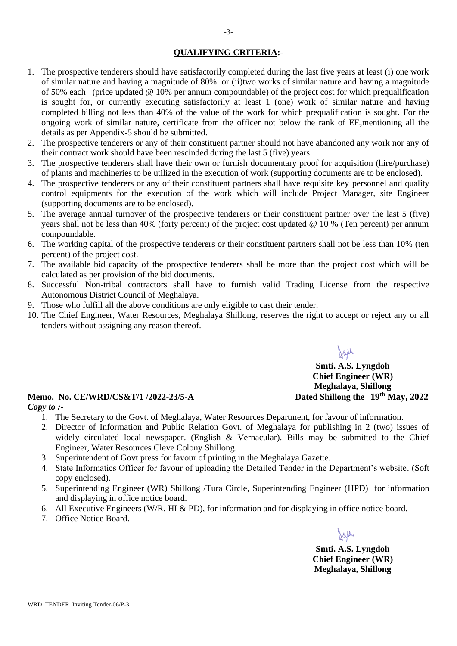## **QUALIFYING CRITERIA:-**

- 1. The prospective tenderers should have satisfactorily completed during the last five years at least (i) one work of similar nature and having a magnitude of 80% or (ii)two works of similar nature and having a magnitude of 50% each (price updated @ 10% per annum compoundable) of the project cost for which prequalification is sought for, or currently executing satisfactorily at least 1 (one) work of similar nature and having completed billing not less than 40% of the value of the work for which prequalification is sought. For the ongoing work of similar nature, certificate from the officer not below the rank of EE,mentioning all the details as per Appendix-5 should be submitted.
- 2. The prospective tenderers or any of their constituent partner should not have abandoned any work nor any of their contract work should have been rescinded during the last 5 (five) years.
- 3. The prospective tenderers shall have their own or furnish documentary proof for acquisition (hire/purchase) of plants and machineries to be utilized in the execution of work (supporting documents are to be enclosed).
- 4. The prospective tenderers or any of their constituent partners shall have requisite key personnel and quality control equipments for the execution of the work which will include Project Manager, site Engineer (supporting documents are to be enclosed).
- 5. The average annual turnover of the prospective tenderers or their constituent partner over the last 5 (five) years shall not be less than 40% (forty percent) of the project cost updated @ 10 % (Ten percent) per annum compoundable.
- 6. The working capital of the prospective tenderers or their constituent partners shall not be less than 10% (ten percent) of the project cost.
- 7. The available bid capacity of the prospective tenderers shall be more than the project cost which will be calculated as per provision of the bid documents.
- 8. Successful Non-tribal contractors shall have to furnish valid Trading License from the respective Autonomous District Council of Meghalaya.
- 9. Those who fulfill all the above conditions are only eligible to cast their tender.
- 10. The Chief Engineer, Water Resources, Meghalaya Shillong, reserves the right to accept or reject any or all tenders without assigning any reason thereof.

Jsu **Smti. A.S. Lyngdoh Chief Engineer (WR) Meghalaya, Shillong** Dated Shillong the 19<sup>th</sup> May, 2022

### **Memo. No. CE/WRD/CS&T/1 /2022-23/5-A** *Copy to :-*

- 1. The Secretary to the Govt. of Meghalaya, Water Resources Department, for favour of information.
- 2. Director of Information and Public Relation Govt. of Meghalaya for publishing in 2 (two) issues of widely circulated local newspaper. (English & Vernacular). Bills may be submitted to the Chief Engineer, Water Resources Cleve Colony Shillong.
- 3. Superintendent of Govt press for favour of printing in the Meghalaya Gazette.
- 4. State Informatics Officer for favour of uploading the Detailed Tender in the Department's website. (Soft copy enclosed).
- 5. Superintending Engineer (WR) Shillong /Tura Circle, Superintending Engineer (HPD) for information and displaying in office notice board.
- 6. All Executive Engineers (W/R, HI & PD), for information and for displaying in office notice board.
- 7. Office Notice Board.

**Smti. A.S. Lyngdoh Chief Engineer (WR) Meghalaya, Shillong**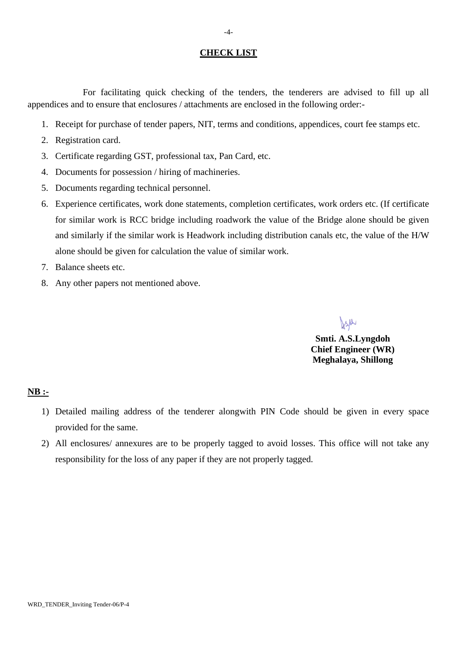#### **CHECK LIST**

For facilitating quick checking of the tenders, the tenderers are advised to fill up all appendices and to ensure that enclosures / attachments are enclosed in the following order:-

- 1. Receipt for purchase of tender papers, NIT, terms and conditions, appendices, court fee stamps etc.
- 2. Registration card.
- 3. Certificate regarding GST, professional tax, Pan Card, etc.
- 4. Documents for possession / hiring of machineries.
- 5. Documents regarding technical personnel.
- 6. Experience certificates, work done statements, completion certificates, work orders etc. (If certificate for similar work is RCC bridge including roadwork the value of the Bridge alone should be given and similarly if the similar work is Headwork including distribution canals etc, the value of the H/W alone should be given for calculation the value of similar work.
- 7. Balance sheets etc.
- 8. Any other papers not mentioned above.

Jsa

**Smti. A.S.Lyngdoh Chief Engineer (WR) Meghalaya, Shillong**

#### **NB :-**

- 1) Detailed mailing address of the tenderer alongwith PIN Code should be given in every space provided for the same.
- 2) All enclosures/ annexures are to be properly tagged to avoid losses. This office will not take any responsibility for the loss of any paper if they are not properly tagged.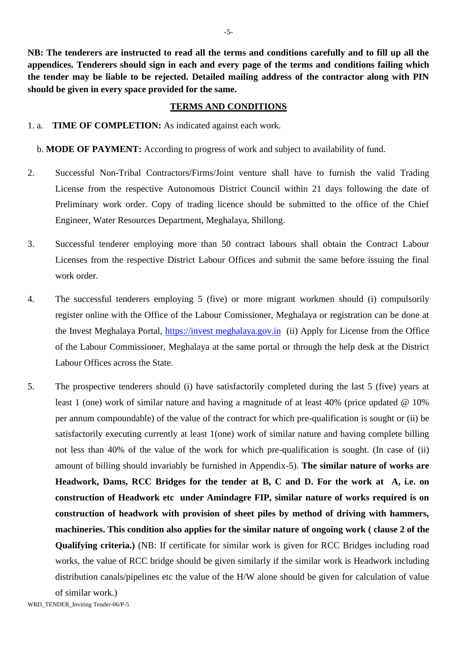**NB: The tenderers are instructed to read all the terms and conditions carefully and to fill up all the appendices. Tenderers should sign in each and every page of the terms and conditions failing which the tender may be liable to be rejected. Detailed mailing address of the contractor along with PIN should be given in every space provided for the same.**

#### **TERMS AND CONDITIONS**

1. a. **TIME OF COMPLETION:** As indicated against each work.

b. **MODE OF PAYMENT:** According to progress of work and subject to availability of fund.

- 2. Successful Non-Tribal Contractors/Firms/Joint venture shall have to furnish the valid Trading License from the respective Autonomous District Council within 21 days following the date of Preliminary work order. Copy of trading licence should be submitted to the office of the Chief Engineer, Water Resources Department, Meghalaya, Shillong.
- 3. Successful tenderer employing more than 50 contract labours shall obtain the Contract Labour Licenses from the respective District Labour Offices and submit the same before issuing the final work order.
- 4. The successful tenderers employing 5 (five) or more migrant workmen should (i) compulsorily register online with the Office of the Labour Comissioner, Meghalaya or registration can be done at the Invest Meghalaya Portal, https://invest meghalaya.gov.in (ii) Apply for License from the Office of the Labour Commissioner, Meghalaya at the same portal or through the help desk at the District Labour Offices across the State.
- 5. The prospective tenderers should (i) have satisfactorily completed during the last 5 (five) years at least 1 (one) work of similar nature and having a magnitude of at least 40% (price updated @ 10% per annum compoundable) of the value of the contract for which pre-qualification is sought or (ii) be satisfactorily executing currently at least 1(one) work of similar nature and having complete billing not less than 40% of the value of the work for which pre-qualification is sought. (In case of (ii) amount of billing should invariably be furnished in Appendix-5). **The similar nature of works are Headwork, Dams, RCC Bridges for the tender at B, C and D. For the work at A, i.e. on construction of Headwork etc under Amindagre FIP, similar nature of works required is on construction of headwork with provision of sheet piles by method of driving with hammers, machineries. This condition also applies for the similar nature of ongoing work ( clause 2 of the Qualifying criteria.)** (NB: If certificate for similar work is given for RCC Bridges including road works, the value of RCC bridge should be given similarly if the similar work is Headwork including distribution canals/pipelines etc the value of the H/W alone should be given for calculation of value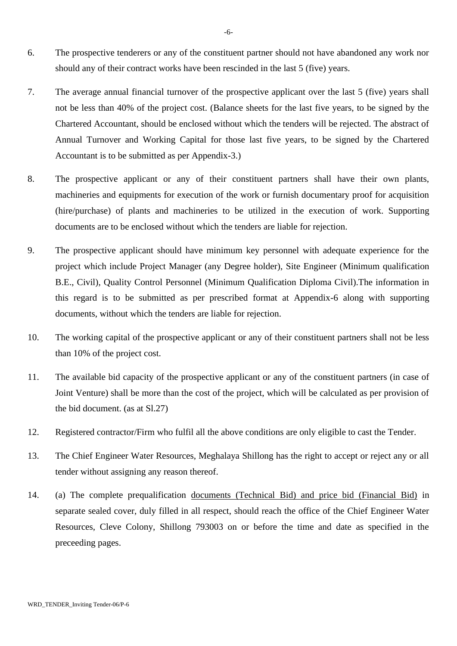- 6. The prospective tenderers or any of the constituent partner should not have abandoned any work nor should any of their contract works have been rescinded in the last 5 (five) years.
- 7. The average annual financial turnover of the prospective applicant over the last 5 (five) years shall not be less than 40% of the project cost. (Balance sheets for the last five years, to be signed by the Chartered Accountant, should be enclosed without which the tenders will be rejected. The abstract of Annual Turnover and Working Capital for those last five years, to be signed by the Chartered Accountant is to be submitted as per Appendix-3.)
- 8. The prospective applicant or any of their constituent partners shall have their own plants, machineries and equipments for execution of the work or furnish documentary proof for acquisition (hire/purchase) of plants and machineries to be utilized in the execution of work. Supporting documents are to be enclosed without which the tenders are liable for rejection.
- 9. The prospective applicant should have minimum key personnel with adequate experience for the project which include Project Manager (any Degree holder), Site Engineer (Minimum qualification B.E., Civil), Quality Control Personnel (Minimum Qualification Diploma Civil).The information in this regard is to be submitted as per prescribed format at Appendix-6 along with supporting documents, without which the tenders are liable for rejection.
- 10. The working capital of the prospective applicant or any of their constituent partners shall not be less than 10% of the project cost.
- 11. The available bid capacity of the prospective applicant or any of the constituent partners (in case of Joint Venture) shall be more than the cost of the project, which will be calculated as per provision of the bid document. (as at Sl.27)
- 12. Registered contractor/Firm who fulfil all the above conditions are only eligible to cast the Tender.
- 13. The Chief Engineer Water Resources, Meghalaya Shillong has the right to accept or reject any or all tender without assigning any reason thereof.
- 14. (a) The complete prequalification documents (Technical Bid) and price bid (Financial Bid) in separate sealed cover, duly filled in all respect, should reach the office of the Chief Engineer Water Resources, Cleve Colony, Shillong 793003 on or before the time and date as specified in the preceeding pages.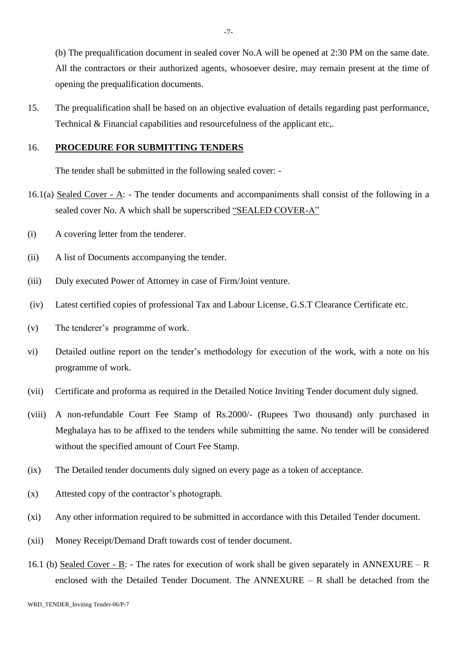(b) The prequalification document in sealed cover No.A will be opened at 2:30 PM on the same date. All the contractors or their authorized agents, whosoever desire, may remain present at the time of opening the prequalification documents.

15. The prequalification shall be based on an objective evaluation of details regarding past performance, Technical & Financial capabilities and resourcefulness of the applicant etc,.

### 16. **PROCEDURE FOR SUBMITTING TENDERS**

The tender shall be submitted in the following sealed cover: -

- 16.1(a) Sealed Cover A: The tender documents and accompaniments shall consist of the following in a sealed cover No. A which shall be superscribed "SEALED COVER-A"
- (i) A covering letter from the tenderer.
- (ii) A list of Documents accompanying the tender.
- (iii) Duly executed Power of Attorney in case of Firm/Joint venture.
- (iv) Latest certified copies of professional Tax and Labour License, G.S.T Clearance Certificate etc.
- (v) The tenderer's programme of work.
- vi) Detailed outline report on the tender's methodology for execution of the work, with a note on his programme of work.
- (vii) Certificate and proforma as required in the Detailed Notice Inviting Tender document duly signed.
- (viii) A non-refundable Court Fee Stamp of Rs.2000/- (Rupees Two thousand) only purchased in Meghalaya has to be affixed to the tenders while submitting the same. No tender will be considered without the specified amount of Court Fee Stamp.
- (ix) The Detailed tender documents duly signed on every page as a token of acceptance.
- (x) Attested copy of the contractor's photograph.
- (xi) Any other information required to be submitted in accordance with this Detailed Tender document.
- (xii) Money Receipt/Demand Draft towards cost of tender document.
- 16.1 (b) Sealed Cover B: The rates for execution of work shall be given separately in ANNEXURE R enclosed with the Detailed Tender Document. The ANNEXURE – R shall be detached from the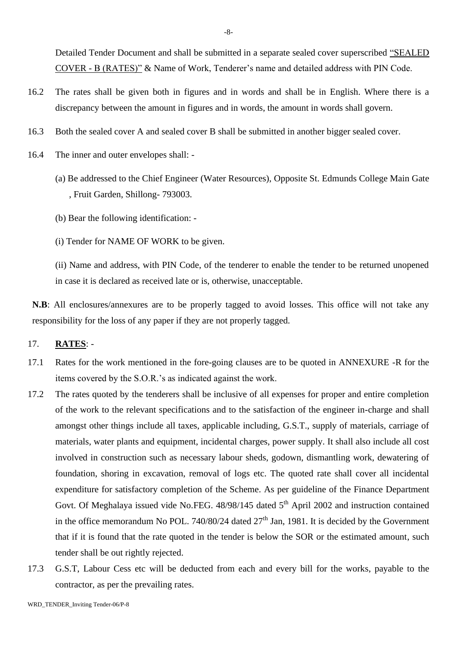Detailed Tender Document and shall be submitted in a separate sealed cover superscribed "SEALED COVER - B (RATES)" & Name of Work, Tenderer's name and detailed address with PIN Code.

- 16.2 The rates shall be given both in figures and in words and shall be in English. Where there is a discrepancy between the amount in figures and in words, the amount in words shall govern.
- 16.3 Both the sealed cover A and sealed cover B shall be submitted in another bigger sealed cover.
- 16.4 The inner and outer envelopes shall:
	- (a) Be addressed to the Chief Engineer (Water Resources), Opposite St. Edmunds College Main Gate , Fruit Garden, Shillong- 793003.
	- (b) Bear the following identification: -
	- (i) Tender for NAME OF WORK to be given.

(ii) Name and address, with PIN Code, of the tenderer to enable the tender to be returned unopened in case it is declared as received late or is, otherwise, unacceptable.

**N.B**: All enclosures/annexures are to be properly tagged to avoid losses. This office will not take any responsibility for the loss of any paper if they are not properly tagged.

#### 17. **RATES**: -

- 17.1 Rates for the work mentioned in the fore-going clauses are to be quoted in ANNEXURE -R for the items covered by the S.O.R.'s as indicated against the work.
- 17.2 The rates quoted by the tenderers shall be inclusive of all expenses for proper and entire completion of the work to the relevant specifications and to the satisfaction of the engineer in-charge and shall amongst other things include all taxes, applicable including, G.S.T., supply of materials, carriage of materials, water plants and equipment, incidental charges, power supply. It shall also include all cost involved in construction such as necessary labour sheds, godown, dismantling work, dewatering of foundation, shoring in excavation, removal of logs etc. The quoted rate shall cover all incidental expenditure for satisfactory completion of the Scheme. As per guideline of the Finance Department Govt. Of Meghalaya issued vide No.FEG. 48/98/145 dated 5<sup>th</sup> April 2002 and instruction contained in the office memorandum No POL. 740/80/24 dated  $27<sup>th</sup>$  Jan, 1981. It is decided by the Government that if it is found that the rate quoted in the tender is below the SOR or the estimated amount, such tender shall be out rightly rejected.
- 17.3 G.S.T, Labour Cess etc will be deducted from each and every bill for the works, payable to the contractor, as per the prevailing rates.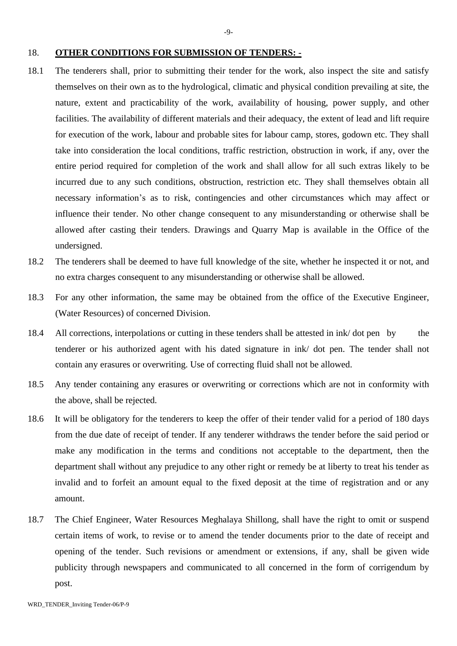- 18.1 The tenderers shall, prior to submitting their tender for the work, also inspect the site and satisfy themselves on their own as to the hydrological, climatic and physical condition prevailing at site, the nature, extent and practicability of the work, availability of housing, power supply, and other facilities. The availability of different materials and their adequacy, the extent of lead and lift require for execution of the work, labour and probable sites for labour camp, stores, godown etc. They shall take into consideration the local conditions, traffic restriction, obstruction in work, if any, over the entire period required for completion of the work and shall allow for all such extras likely to be incurred due to any such conditions, obstruction, restriction etc. They shall themselves obtain all necessary information's as to risk, contingencies and other circumstances which may affect or influence their tender. No other change consequent to any misunderstanding or otherwise shall be allowed after casting their tenders. Drawings and Quarry Map is available in the Office of the undersigned.
- 18.2 The tenderers shall be deemed to have full knowledge of the site, whether he inspected it or not, and no extra charges consequent to any misunderstanding or otherwise shall be allowed.
- 18.3 For any other information, the same may be obtained from the office of the Executive Engineer, (Water Resources) of concerned Division.
- 18.4 All corrections, interpolations or cutting in these tenders shall be attested in ink/ dot pen by the tenderer or his authorized agent with his dated signature in ink/ dot pen. The tender shall not contain any erasures or overwriting. Use of correcting fluid shall not be allowed.
- 18.5 Any tender containing any erasures or overwriting or corrections which are not in conformity with the above, shall be rejected.
- 18.6 It will be obligatory for the tenderers to keep the offer of their tender valid for a period of 180 days from the due date of receipt of tender. If any tenderer withdraws the tender before the said period or make any modification in the terms and conditions not acceptable to the department, then the department shall without any prejudice to any other right or remedy be at liberty to treat his tender as invalid and to forfeit an amount equal to the fixed deposit at the time of registration and or any amount.
- 18.7 The Chief Engineer, Water Resources Meghalaya Shillong, shall have the right to omit or suspend certain items of work, to revise or to amend the tender documents prior to the date of receipt and opening of the tender. Such revisions or amendment or extensions, if any, shall be given wide publicity through newspapers and communicated to all concerned in the form of corrigendum by post.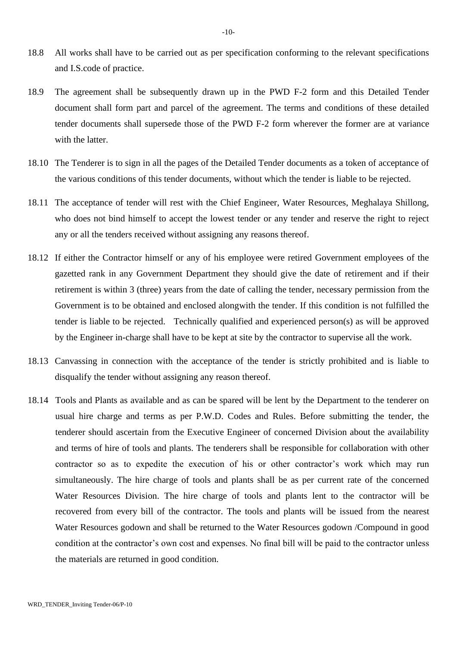- 18.8 All works shall have to be carried out as per specification conforming to the relevant specifications and I.S.code of practice.
- 18.9 The agreement shall be subsequently drawn up in the PWD F-2 form and this Detailed Tender document shall form part and parcel of the agreement. The terms and conditions of these detailed tender documents shall supersede those of the PWD F-2 form wherever the former are at variance with the latter.
- 18.10 The Tenderer is to sign in all the pages of the Detailed Tender documents as a token of acceptance of the various conditions of this tender documents, without which the tender is liable to be rejected.
- 18.11 The acceptance of tender will rest with the Chief Engineer, Water Resources, Meghalaya Shillong, who does not bind himself to accept the lowest tender or any tender and reserve the right to reject any or all the tenders received without assigning any reasons thereof.
- 18.12 If either the Contractor himself or any of his employee were retired Government employees of the gazetted rank in any Government Department they should give the date of retirement and if their retirement is within 3 (three) years from the date of calling the tender, necessary permission from the Government is to be obtained and enclosed alongwith the tender. If this condition is not fulfilled the tender is liable to be rejected. Technically qualified and experienced person(s) as will be approved by the Engineer in-charge shall have to be kept at site by the contractor to supervise all the work.
- 18.13 Canvassing in connection with the acceptance of the tender is strictly prohibited and is liable to disqualify the tender without assigning any reason thereof.
- 18.14 Tools and Plants as available and as can be spared will be lent by the Department to the tenderer on usual hire charge and terms as per P.W.D. Codes and Rules. Before submitting the tender, the tenderer should ascertain from the Executive Engineer of concerned Division about the availability and terms of hire of tools and plants. The tenderers shall be responsible for collaboration with other contractor so as to expedite the execution of his or other contractor's work which may run simultaneously. The hire charge of tools and plants shall be as per current rate of the concerned Water Resources Division. The hire charge of tools and plants lent to the contractor will be recovered from every bill of the contractor. The tools and plants will be issued from the nearest Water Resources godown and shall be returned to the Water Resources godown /Compound in good condition at the contractor's own cost and expenses. No final bill will be paid to the contractor unless the materials are returned in good condition.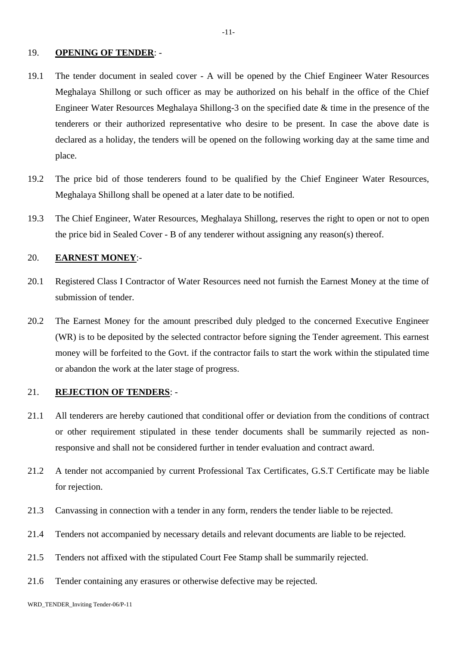#### 19. **OPENING OF TENDER**: -

19.1 The tender document in sealed cover - A will be opened by the Chief Engineer Water Resources Meghalaya Shillong or such officer as may be authorized on his behalf in the office of the Chief Engineer Water Resources Meghalaya Shillong-3 on the specified date & time in the presence of the tenderers or their authorized representative who desire to be present. In case the above date is declared as a holiday, the tenders will be opened on the following working day at the same time and place.

-11-

- 19.2 The price bid of those tenderers found to be qualified by the Chief Engineer Water Resources, Meghalaya Shillong shall be opened at a later date to be notified.
- 19.3 The Chief Engineer, Water Resources, Meghalaya Shillong, reserves the right to open or not to open the price bid in Sealed Cover - B of any tenderer without assigning any reason(s) thereof.

### 20. **EARNEST MONEY**:-

- 20.1 Registered Class I Contractor of Water Resources need not furnish the Earnest Money at the time of submission of tender.
- 20.2 The Earnest Money for the amount prescribed duly pledged to the concerned Executive Engineer (WR) is to be deposited by the selected contractor before signing the Tender agreement. This earnest money will be forfeited to the Govt. if the contractor fails to start the work within the stipulated time or abandon the work at the later stage of progress.

## 21. **REJECTION OF TENDERS**: -

- 21.1 All tenderers are hereby cautioned that conditional offer or deviation from the conditions of contract or other requirement stipulated in these tender documents shall be summarily rejected as nonresponsive and shall not be considered further in tender evaluation and contract award.
- 21.2 A tender not accompanied by current Professional Tax Certificates, G.S.T Certificate may be liable for rejection.
- 21.3 Canvassing in connection with a tender in any form, renders the tender liable to be rejected.
- 21.4 Tenders not accompanied by necessary details and relevant documents are liable to be rejected.
- 21.5 Tenders not affixed with the stipulated Court Fee Stamp shall be summarily rejected.
- 21.6 Tender containing any erasures or otherwise defective may be rejected.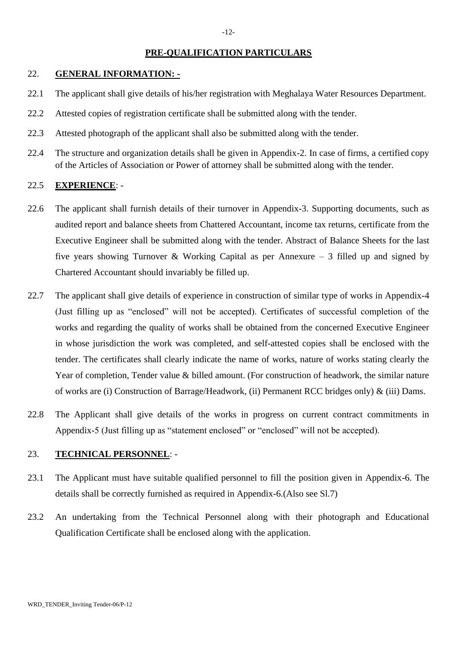### **PRE-QUALIFICATION PARTICULARS**

## 22. **GENERAL INFORMATION: -**

- 22.1 The applicant shall give details of his/her registration with Meghalaya Water Resources Department.
- 22.2 Attested copies of registration certificate shall be submitted along with the tender.
- 22.3 Attested photograph of the applicant shall also be submitted along with the tender.
- 22.4 The structure and organization details shall be given in Appendix-2. In case of firms, a certified copy of the Articles of Association or Power of attorney shall be submitted along with the tender.

#### 22.5 **EXPERIENCE**: -

- 22.6 The applicant shall furnish details of their turnover in Appendix-3. Supporting documents, such as audited report and balance sheets from Chattered Accountant, income tax returns, certificate from the Executive Engineer shall be submitted along with the tender. Abstract of Balance Sheets for the last five years showing Turnover & Working Capital as per Annexure – 3 filled up and signed by Chartered Accountant should invariably be filled up.
- 22.7 The applicant shall give details of experience in construction of similar type of works in Appendix-4 (Just filling up as "enclosed" will not be accepted). Certificates of successful completion of the works and regarding the quality of works shall be obtained from the concerned Executive Engineer in whose jurisdiction the work was completed, and self-attested copies shall be enclosed with the tender. The certificates shall clearly indicate the name of works, nature of works stating clearly the Year of completion, Tender value & billed amount. (For construction of headwork, the similar nature of works are (i) Construction of Barrage/Headwork, (ii) Permanent RCC bridges only) & (iii) Dams.
- 22.8 The Applicant shall give details of the works in progress on current contract commitments in Appendix-5 (Just filling up as "statement enclosed" or "enclosed" will not be accepted).

#### 23. **TECHNICAL PERSONNEL**: -

- 23.1 The Applicant must have suitable qualified personnel to fill the position given in Appendix-6. The details shall be correctly furnished as required in Appendix-6.(Also see Sl.7)
- 23.2 An undertaking from the Technical Personnel along with their photograph and Educational Qualification Certificate shall be enclosed along with the application.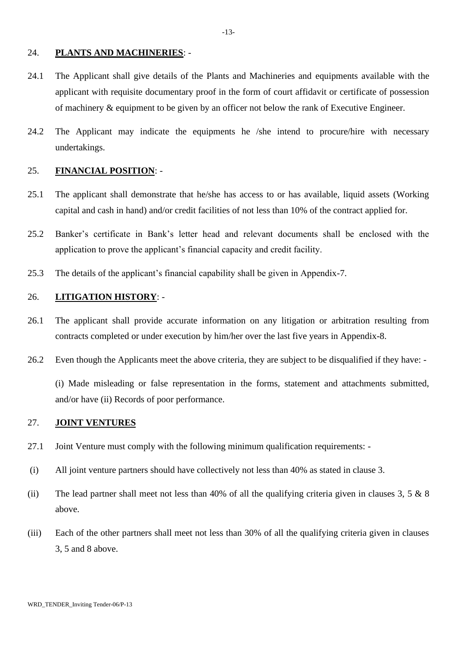#### 24. **PLANTS AND MACHINERIES**: -

- 24.1 The Applicant shall give details of the Plants and Machineries and equipments available with the applicant with requisite documentary proof in the form of court affidavit or certificate of possession of machinery & equipment to be given by an officer not below the rank of Executive Engineer.
- 24.2 The Applicant may indicate the equipments he /she intend to procure/hire with necessary undertakings.

#### 25. **FINANCIAL POSITION**: -

- 25.1 The applicant shall demonstrate that he/she has access to or has available, liquid assets (Working capital and cash in hand) and/or credit facilities of not less than 10% of the contract applied for.
- 25.2 Banker's certificate in Bank's letter head and relevant documents shall be enclosed with the application to prove the applicant's financial capacity and credit facility.
- 25.3 The details of the applicant's financial capability shall be given in Appendix-7.

#### 26. **LITIGATION HISTORY**: -

- 26.1 The applicant shall provide accurate information on any litigation or arbitration resulting from contracts completed or under execution by him/her over the last five years in Appendix-8.
- 26.2 Even though the Applicants meet the above criteria, they are subject to be disqualified if they have: -

(i) Made misleading or false representation in the forms, statement and attachments submitted, and/or have (ii) Records of poor performance.

### 27. **JOINT VENTURES**

- 27.1 Joint Venture must comply with the following minimum qualification requirements: -
- (i) All joint venture partners should have collectively not less than 40% as stated in clause 3.
- (ii) The lead partner shall meet not less than 40% of all the qualifying criteria given in clauses 3, 5  $\&$  8 above.
- (iii) Each of the other partners shall meet not less than 30% of all the qualifying criteria given in clauses 3, 5 and 8 above.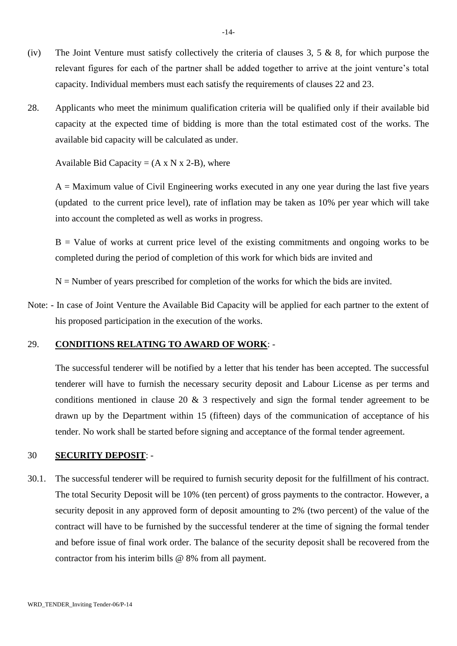- (iv) The Joint Venture must satisfy collectively the criteria of clauses  $3, 5 \& 8$ , for which purpose the relevant figures for each of the partner shall be added together to arrive at the joint venture's total capacity. Individual members must each satisfy the requirements of clauses 22 and 23.
- 28. Applicants who meet the minimum qualification criteria will be qualified only if their available bid capacity at the expected time of bidding is more than the total estimated cost of the works. The available bid capacity will be calculated as under.

Available Bid Capacity =  $(A \times N \times 2-B)$ , where

 $A =$  Maximum value of Civil Engineering works executed in any one year during the last five years (updated to the current price level), rate of inflation may be taken as 10% per year which will take into account the completed as well as works in progress.

 $B =$  Value of works at current price level of the existing commitments and ongoing works to be completed during the period of completion of this work for which bids are invited and

 $N =$  Number of years prescribed for completion of the works for which the bids are invited.

Note: - In case of Joint Venture the Available Bid Capacity will be applied for each partner to the extent of his proposed participation in the execution of the works.

#### 29. **CONDITIONS RELATING TO AWARD OF WORK**: -

The successful tenderer will be notified by a letter that his tender has been accepted. The successful tenderer will have to furnish the necessary security deposit and Labour License as per terms and conditions mentioned in clause 20 & 3 respectively and sign the formal tender agreement to be drawn up by the Department within 15 (fifteen) days of the communication of acceptance of his tender. No work shall be started before signing and acceptance of the formal tender agreement.

#### 30 **SECURITY DEPOSIT**: -

30.1. The successful tenderer will be required to furnish security deposit for the fulfillment of his contract. The total Security Deposit will be 10% (ten percent) of gross payments to the contractor. However, a security deposit in any approved form of deposit amounting to 2% (two percent) of the value of the contract will have to be furnished by the successful tenderer at the time of signing the formal tender and before issue of final work order. The balance of the security deposit shall be recovered from the contractor from his interim bills @ 8% from all payment.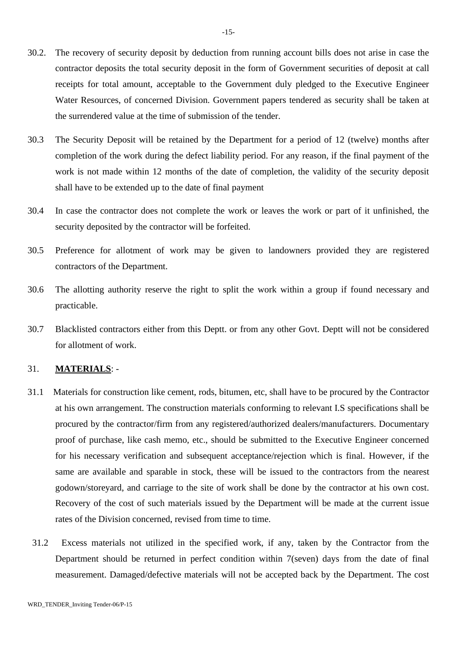- 30.2. The recovery of security deposit by deduction from running account bills does not arise in case the contractor deposits the total security deposit in the form of Government securities of deposit at call receipts for total amount, acceptable to the Government duly pledged to the Executive Engineer Water Resources, of concerned Division. Government papers tendered as security shall be taken at the surrendered value at the time of submission of the tender.
- 30.3 The Security Deposit will be retained by the Department for a period of 12 (twelve) months after completion of the work during the defect liability period. For any reason, if the final payment of the work is not made within 12 months of the date of completion, the validity of the security deposit shall have to be extended up to the date of final payment
- 30.4 In case the contractor does not complete the work or leaves the work or part of it unfinished, the security deposited by the contractor will be forfeited.
- 30.5 Preference for allotment of work may be given to landowners provided they are registered contractors of the Department.
- 30.6 The allotting authority reserve the right to split the work within a group if found necessary and practicable.
- 30.7 Blacklisted contractors either from this Deptt. or from any other Govt. Deptt will not be considered for allotment of work.

### 31. **MATERIALS**: -

- 31.1 Materials for construction like cement, rods, bitumen, etc, shall have to be procured by the Contractor at his own arrangement. The construction materials conforming to relevant I.S specifications shall be procured by the contractor/firm from any registered/authorized dealers/manufacturers. Documentary proof of purchase, like cash memo, etc., should be submitted to the Executive Engineer concerned for his necessary verification and subsequent acceptance/rejection which is final. However, if the same are available and sparable in stock, these will be issued to the contractors from the nearest godown/storeyard, and carriage to the site of work shall be done by the contractor at his own cost. Recovery of the cost of such materials issued by the Department will be made at the current issue rates of the Division concerned, revised from time to time.
- 31.2 Excess materials not utilized in the specified work, if any, taken by the Contractor from the Department should be returned in perfect condition within 7(seven) days from the date of final measurement. Damaged/defective materials will not be accepted back by the Department. The cost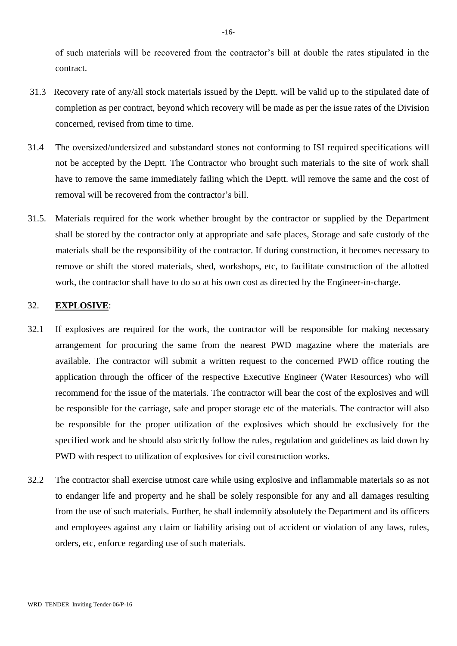of such materials will be recovered from the contractor's bill at double the rates stipulated in the contract.

- 31.3 Recovery rate of any/all stock materials issued by the Deptt. will be valid up to the stipulated date of completion as per contract, beyond which recovery will be made as per the issue rates of the Division concerned, revised from time to time.
- 31.4 The oversized/undersized and substandard stones not conforming to ISI required specifications will not be accepted by the Deptt. The Contractor who brought such materials to the site of work shall have to remove the same immediately failing which the Deptt. will remove the same and the cost of removal will be recovered from the contractor's bill.
- 31.5. Materials required for the work whether brought by the contractor or supplied by the Department shall be stored by the contractor only at appropriate and safe places, Storage and safe custody of the materials shall be the responsibility of the contractor. If during construction, it becomes necessary to remove or shift the stored materials, shed, workshops, etc, to facilitate construction of the allotted work, the contractor shall have to do so at his own cost as directed by the Engineer-in-charge.

#### 32. **EXPLOSIVE**:

- 32.1 If explosives are required for the work, the contractor will be responsible for making necessary arrangement for procuring the same from the nearest PWD magazine where the materials are available. The contractor will submit a written request to the concerned PWD office routing the application through the officer of the respective Executive Engineer (Water Resources) who will recommend for the issue of the materials. The contractor will bear the cost of the explosives and will be responsible for the carriage, safe and proper storage etc of the materials. The contractor will also be responsible for the proper utilization of the explosives which should be exclusively for the specified work and he should also strictly follow the rules, regulation and guidelines as laid down by PWD with respect to utilization of explosives for civil construction works.
- 32.2 The contractor shall exercise utmost care while using explosive and inflammable materials so as not to endanger life and property and he shall be solely responsible for any and all damages resulting from the use of such materials. Further, he shall indemnify absolutely the Department and its officers and employees against any claim or liability arising out of accident or violation of any laws, rules, orders, etc, enforce regarding use of such materials.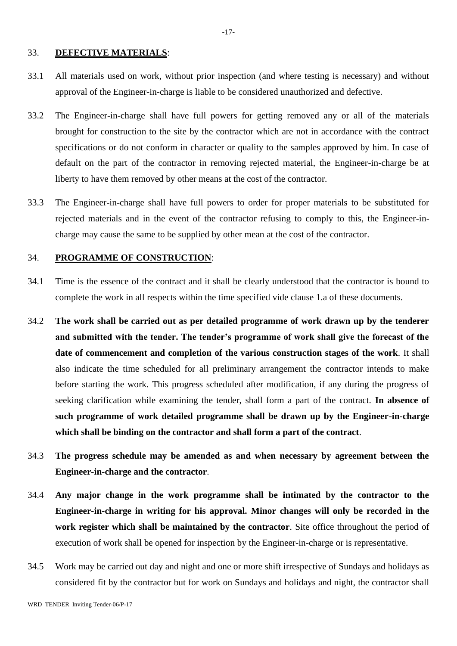#### 33. **DEFECTIVE MATERIALS**:

- 33.1 All materials used on work, without prior inspection (and where testing is necessary) and without approval of the Engineer-in-charge is liable to be considered unauthorized and defective.
- 33.2 The Engineer-in-charge shall have full powers for getting removed any or all of the materials brought for construction to the site by the contractor which are not in accordance with the contract specifications or do not conform in character or quality to the samples approved by him. In case of default on the part of the contractor in removing rejected material, the Engineer-in-charge be at liberty to have them removed by other means at the cost of the contractor.
- 33.3 The Engineer-in-charge shall have full powers to order for proper materials to be substituted for rejected materials and in the event of the contractor refusing to comply to this, the Engineer-incharge may cause the same to be supplied by other mean at the cost of the contractor.

## 34. **PROGRAMME OF CONSTRUCTION**:

- 34.1 Time is the essence of the contract and it shall be clearly understood that the contractor is bound to complete the work in all respects within the time specified vide clause 1.a of these documents.
- 34.2 **The work shall be carried out as per detailed programme of work drawn up by the tenderer and submitted with the tender. The tender's programme of work shall give the forecast of the date of commencement and completion of the various construction stages of the work**. It shall also indicate the time scheduled for all preliminary arrangement the contractor intends to make before starting the work. This progress scheduled after modification, if any during the progress of seeking clarification while examining the tender, shall form a part of the contract. **In absence of such programme of work detailed programme shall be drawn up by the Engineer-in-charge which shall be binding on the contractor and shall form a part of the contract**.
- 34.3 **The progress schedule may be amended as and when necessary by agreement between the Engineer-in-charge and the contractor**.
- 34.4 **Any major change in the work programme shall be intimated by the contractor to the Engineer-in-charge in writing for his approval. Minor changes will only be recorded in the work register which shall be maintained by the contractor**. Site office throughout the period of execution of work shall be opened for inspection by the Engineer-in-charge or is representative.
- 34.5 Work may be carried out day and night and one or more shift irrespective of Sundays and holidays as considered fit by the contractor but for work on Sundays and holidays and night, the contractor shall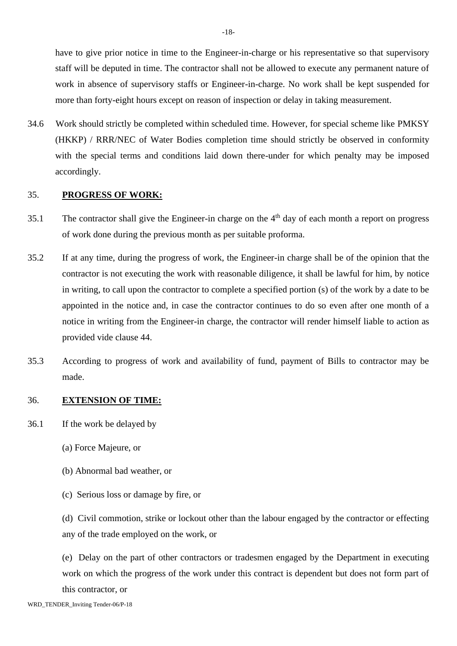have to give prior notice in time to the Engineer-in-charge or his representative so that supervisory staff will be deputed in time. The contractor shall not be allowed to execute any permanent nature of work in absence of supervisory staffs or Engineer-in-charge. No work shall be kept suspended for more than forty-eight hours except on reason of inspection or delay in taking measurement.

34.6 Work should strictly be completed within scheduled time. However, for special scheme like PMKSY (HKKP) / RRR/NEC of Water Bodies completion time should strictly be observed in conformity with the special terms and conditions laid down there-under for which penalty may be imposed accordingly.

### 35. **PROGRESS OF WORK:**

- 35.1 The contractor shall give the Engineer-in charge on the 4th day of each month a report on progress of work done during the previous month as per suitable proforma.
- 35.2 If at any time, during the progress of work, the Engineer-in charge shall be of the opinion that the contractor is not executing the work with reasonable diligence, it shall be lawful for him, by notice in writing, to call upon the contractor to complete a specified portion (s) of the work by a date to be appointed in the notice and, in case the contractor continues to do so even after one month of a notice in writing from the Engineer-in charge, the contractor will render himself liable to action as provided vide clause 44.
- 35.3 According to progress of work and availability of fund, payment of Bills to contractor may be made.

### 36. **EXTENSION OF TIME:**

- 36.1 If the work be delayed by
	- (a) Force Majeure, or
	- (b) Abnormal bad weather, or
	- (c) Serious loss or damage by fire, or

(d) Civil commotion, strike or lockout other than the labour engaged by the contractor or effecting any of the trade employed on the work, or

(e) Delay on the part of other contractors or tradesmen engaged by the Department in executing work on which the progress of the work under this contract is dependent but does not form part of this contractor, or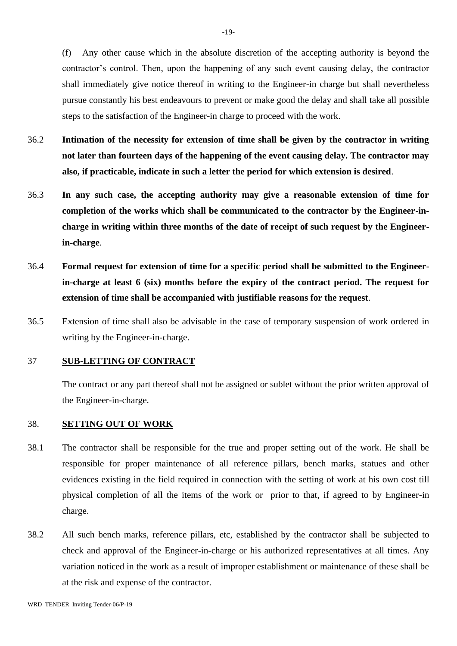(f) Any other cause which in the absolute discretion of the accepting authority is beyond the contractor's control. Then, upon the happening of any such event causing delay, the contractor shall immediately give notice thereof in writing to the Engineer-in charge but shall nevertheless pursue constantly his best endeavours to prevent or make good the delay and shall take all possible steps to the satisfaction of the Engineer-in charge to proceed with the work.

- 36.2 **Intimation of the necessity for extension of time shall be given by the contractor in writing not later than fourteen days of the happening of the event causing delay. The contractor may also, if practicable, indicate in such a letter the period for which extension is desired**.
- 36.3 **In any such case, the accepting authority may give a reasonable extension of time for completion of the works which shall be communicated to the contractor by the Engineer-incharge in writing within three months of the date of receipt of such request by the Engineerin-charge**.
- 36.4 **Formal request for extension of time for a specific period shall be submitted to the Engineerin-charge at least 6 (six) months before the expiry of the contract period. The request for extension of time shall be accompanied with justifiable reasons for the request**.
- 36.5 Extension of time shall also be advisable in the case of temporary suspension of work ordered in writing by the Engineer-in-charge.

## 37 **SUB-LETTING OF CONTRACT**

The contract or any part thereof shall not be assigned or sublet without the prior written approval of the Engineer-in-charge.

### 38. **SETTING OUT OF WORK**

- 38.1 The contractor shall be responsible for the true and proper setting out of the work. He shall be responsible for proper maintenance of all reference pillars, bench marks, statues and other evidences existing in the field required in connection with the setting of work at his own cost till physical completion of all the items of the work or prior to that, if agreed to by Engineer-in charge.
- 38.2 All such bench marks, reference pillars, etc, established by the contractor shall be subjected to check and approval of the Engineer-in-charge or his authorized representatives at all times. Any variation noticed in the work as a result of improper establishment or maintenance of these shall be at the risk and expense of the contractor.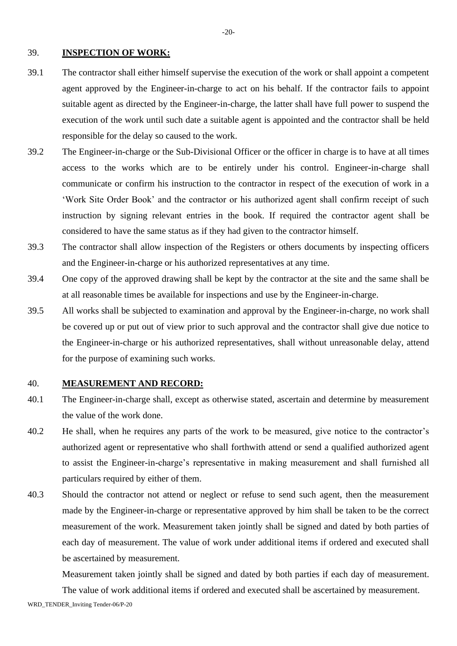#### 39. **INSPECTION OF WORK:**

- 39.1 The contractor shall either himself supervise the execution of the work or shall appoint a competent agent approved by the Engineer-in-charge to act on his behalf. If the contractor fails to appoint suitable agent as directed by the Engineer-in-charge, the latter shall have full power to suspend the execution of the work until such date a suitable agent is appointed and the contractor shall be held responsible for the delay so caused to the work.
- 39.2 The Engineer-in-charge or the Sub-Divisional Officer or the officer in charge is to have at all times access to the works which are to be entirely under his control. Engineer-in-charge shall communicate or confirm his instruction to the contractor in respect of the execution of work in a 'Work Site Order Book' and the contractor or his authorized agent shall confirm receipt of such instruction by signing relevant entries in the book. If required the contractor agent shall be considered to have the same status as if they had given to the contractor himself.
- 39.3 The contractor shall allow inspection of the Registers or others documents by inspecting officers and the Engineer-in-charge or his authorized representatives at any time.
- 39.4 One copy of the approved drawing shall be kept by the contractor at the site and the same shall be at all reasonable times be available for inspections and use by the Engineer-in-charge.
- 39.5 All works shall be subjected to examination and approval by the Engineer-in-charge, no work shall be covered up or put out of view prior to such approval and the contractor shall give due notice to the Engineer-in-charge or his authorized representatives, shall without unreasonable delay, attend for the purpose of examining such works.

### 40. **MEASUREMENT AND RECORD:**

- 40.1 The Engineer-in-charge shall, except as otherwise stated, ascertain and determine by measurement the value of the work done.
- 40.2 He shall, when he requires any parts of the work to be measured, give notice to the contractor's authorized agent or representative who shall forthwith attend or send a qualified authorized agent to assist the Engineer-in-charge's representative in making measurement and shall furnished all particulars required by either of them.
- 40.3 Should the contractor not attend or neglect or refuse to send such agent, then the measurement made by the Engineer-in-charge or representative approved by him shall be taken to be the correct measurement of the work. Measurement taken jointly shall be signed and dated by both parties of each day of measurement. The value of work under additional items if ordered and executed shall be ascertained by measurement.

Measurement taken jointly shall be signed and dated by both parties if each day of measurement. The value of work additional items if ordered and executed shall be ascertained by measurement.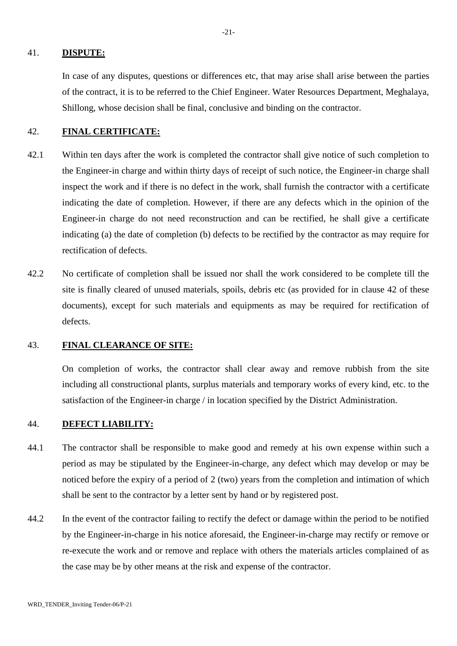#### 41. **DISPUTE:**

 In case of any disputes, questions or differences etc, that may arise shall arise between the parties of the contract, it is to be referred to the Chief Engineer. Water Resources Department, Meghalaya, Shillong, whose decision shall be final, conclusive and binding on the contractor.

#### 42. **FINAL CERTIFICATE:**

- 42.1 Within ten days after the work is completed the contractor shall give notice of such completion to the Engineer-in charge and within thirty days of receipt of such notice, the Engineer-in charge shall inspect the work and if there is no defect in the work, shall furnish the contractor with a certificate indicating the date of completion. However, if there are any defects which in the opinion of the Engineer-in charge do not need reconstruction and can be rectified, he shall give a certificate indicating (a) the date of completion (b) defects to be rectified by the contractor as may require for rectification of defects.
- 42.2 No certificate of completion shall be issued nor shall the work considered to be complete till the site is finally cleared of unused materials, spoils, debris etc (as provided for in clause 42 of these documents), except for such materials and equipments as may be required for rectification of defects.

### 43. **FINAL CLEARANCE OF SITE:**

On completion of works, the contractor shall clear away and remove rubbish from the site including all constructional plants, surplus materials and temporary works of every kind, etc. to the satisfaction of the Engineer-in charge / in location specified by the District Administration.

### 44. **DEFECT LIABILITY:**

- 44.1 The contractor shall be responsible to make good and remedy at his own expense within such a period as may be stipulated by the Engineer-in-charge, any defect which may develop or may be noticed before the expiry of a period of 2 (two) years from the completion and intimation of which shall be sent to the contractor by a letter sent by hand or by registered post.
- 44.2 In the event of the contractor failing to rectify the defect or damage within the period to be notified by the Engineer-in-charge in his notice aforesaid, the Engineer-in-charge may rectify or remove or re-execute the work and or remove and replace with others the materials articles complained of as the case may be by other means at the risk and expense of the contractor.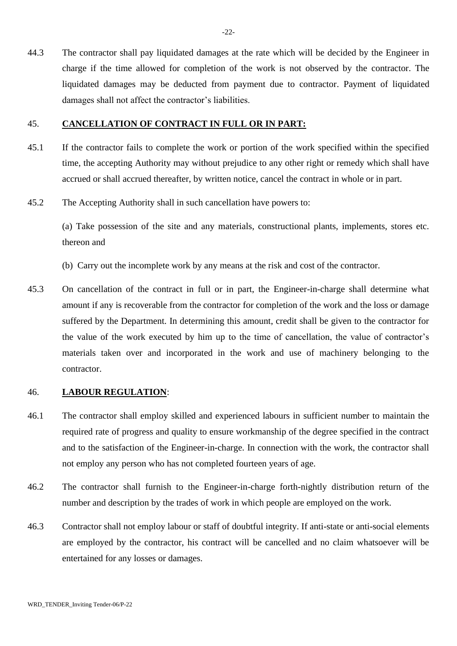44.3 The contractor shall pay liquidated damages at the rate which will be decided by the Engineer in charge if the time allowed for completion of the work is not observed by the contractor. The liquidated damages may be deducted from payment due to contractor. Payment of liquidated damages shall not affect the contractor's liabilities.

## 45. **CANCELLATION OF CONTRACT IN FULL OR IN PART:**

- 45.1 If the contractor fails to complete the work or portion of the work specified within the specified time, the accepting Authority may without prejudice to any other right or remedy which shall have accrued or shall accrued thereafter, by written notice, cancel the contract in whole or in part.
- 45.2 The Accepting Authority shall in such cancellation have powers to:

(a) Take possession of the site and any materials, constructional plants, implements, stores etc. thereon and

- (b) Carry out the incomplete work by any means at the risk and cost of the contractor.
- 45.3 On cancellation of the contract in full or in part, the Engineer-in-charge shall determine what amount if any is recoverable from the contractor for completion of the work and the loss or damage suffered by the Department. In determining this amount, credit shall be given to the contractor for the value of the work executed by him up to the time of cancellation, the value of contractor's materials taken over and incorporated in the work and use of machinery belonging to the contractor.

#### 46. **LABOUR REGULATION**:

- 46.1 The contractor shall employ skilled and experienced labours in sufficient number to maintain the required rate of progress and quality to ensure workmanship of the degree specified in the contract and to the satisfaction of the Engineer-in-charge. In connection with the work, the contractor shall not employ any person who has not completed fourteen years of age.
- 46.2 The contractor shall furnish to the Engineer-in-charge forth-nightly distribution return of the number and description by the trades of work in which people are employed on the work.
- 46.3 Contractor shall not employ labour or staff of doubtful integrity. If anti-state or anti-social elements are employed by the contractor, his contract will be cancelled and no claim whatsoever will be entertained for any losses or damages.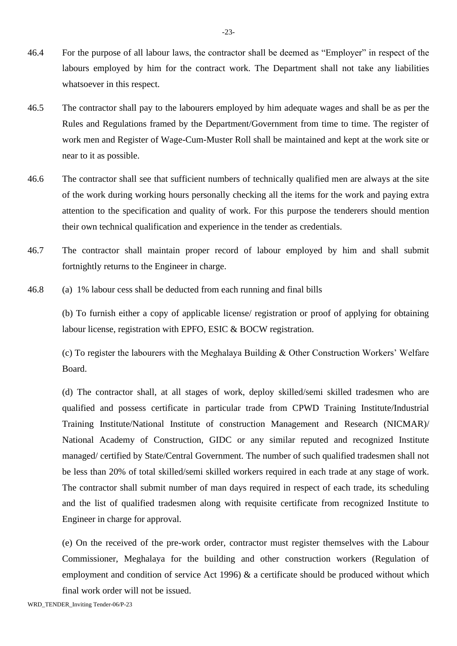- 46.4 For the purpose of all labour laws, the contractor shall be deemed as "Employer" in respect of the labours employed by him for the contract work. The Department shall not take any liabilities whatsoever in this respect.
- 46.5 The contractor shall pay to the labourers employed by him adequate wages and shall be as per the Rules and Regulations framed by the Department/Government from time to time. The register of work men and Register of Wage-Cum-Muster Roll shall be maintained and kept at the work site or near to it as possible.
- 46.6 The contractor shall see that sufficient numbers of technically qualified men are always at the site of the work during working hours personally checking all the items for the work and paying extra attention to the specification and quality of work. For this purpose the tenderers should mention their own technical qualification and experience in the tender as credentials.
- 46.7 The contractor shall maintain proper record of labour employed by him and shall submit fortnightly returns to the Engineer in charge.
- 46.8 (a) 1% labour cess shall be deducted from each running and final bills

(b) To furnish either a copy of applicable license/ registration or proof of applying for obtaining labour license, registration with EPFO, ESIC & BOCW registration.

(c) To register the labourers with the Meghalaya Building & Other Construction Workers' Welfare Board.

(d) The contractor shall, at all stages of work, deploy skilled/semi skilled tradesmen who are qualified and possess certificate in particular trade from CPWD Training Institute/Industrial Training Institute/National Institute of construction Management and Research (NICMAR)/ National Academy of Construction, GIDC or any similar reputed and recognized Institute managed/ certified by State/Central Government. The number of such qualified tradesmen shall not be less than 20% of total skilled/semi skilled workers required in each trade at any stage of work. The contractor shall submit number of man days required in respect of each trade, its scheduling and the list of qualified tradesmen along with requisite certificate from recognized Institute to Engineer in charge for approval.

(e) On the received of the pre-work order, contractor must register themselves with the Labour Commissioner, Meghalaya for the building and other construction workers (Regulation of employment and condition of service Act 1996)  $\&$  a certificate should be produced without which final work order will not be issued.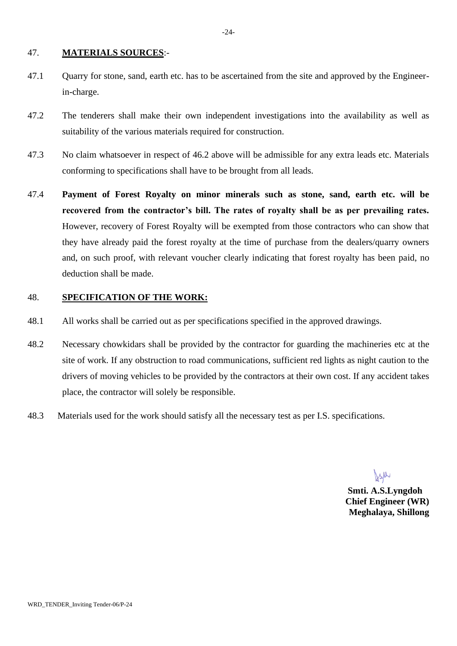#### 47. **MATERIALS SOURCES**:-

- 47.1 Quarry for stone, sand, earth etc. has to be ascertained from the site and approved by the Engineerin-charge.
- 47.2 The tenderers shall make their own independent investigations into the availability as well as suitability of the various materials required for construction.
- 47.3 No claim whatsoever in respect of 46.2 above will be admissible for any extra leads etc. Materials conforming to specifications shall have to be brought from all leads.
- 47.4 **Payment of Forest Royalty on minor minerals such as stone, sand, earth etc. will be recovered from the contractor's bill. The rates of royalty shall be as per prevailing rates.** However, recovery of Forest Royalty will be exempted from those contractors who can show that they have already paid the forest royalty at the time of purchase from the dealers/quarry owners and, on such proof, with relevant voucher clearly indicating that forest royalty has been paid, no deduction shall be made.

#### 48. **SPECIFICATION OF THE WORK:**

- 48.1 All works shall be carried out as per specifications specified in the approved drawings.
- 48.2 Necessary chowkidars shall be provided by the contractor for guarding the machineries etc at the site of work. If any obstruction to road communications, sufficient red lights as night caution to the drivers of moving vehicles to be provided by the contractors at their own cost. If any accident takes place, the contractor will solely be responsible.
- 48.3 Materials used for the work should satisfy all the necessary test as per I.S. specifications.

 **Smti. A.S.Lyngdoh Chief Engineer (WR) Meghalaya, Shillong**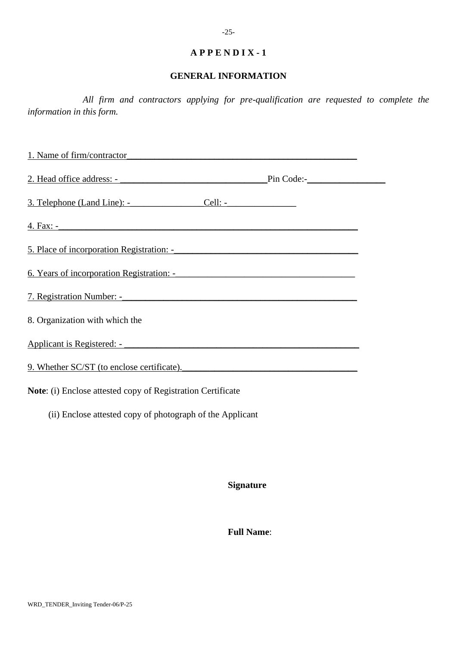#### **GENERAL INFORMATION**

*All firm and contractors applying for pre-qualification are requested to complete the information in this form.*

1. Name of firm/contractor\_\_\_\_\_\_\_\_\_\_\_\_\_\_\_\_\_\_\_\_\_\_\_\_\_\_\_\_\_\_\_\_\_\_\_\_\_\_\_\_\_\_\_\_\_\_\_\_\_\_ 2. Head office address: - \_\_\_\_\_\_\_\_\_\_\_\_\_\_\_\_\_\_\_\_\_\_\_\_\_\_\_\_\_\_\_\_Pin Code:-\_\_\_\_\_\_\_\_\_\_\_\_\_\_\_\_\_ 3. Telephone (Land Line): -\_\_\_\_\_\_\_\_\_\_\_\_\_\_\_\_Cell: -\_\_\_\_\_\_\_\_\_\_\_\_\_\_\_ 4. Fax: -\_\_\_\_\_\_\_\_\_\_\_\_\_\_\_\_\_\_\_\_\_\_\_\_\_\_\_\_\_\_\_\_\_\_\_\_\_\_\_\_\_\_\_\_\_\_\_\_\_\_\_\_\_\_\_\_\_\_\_\_\_\_\_\_\_ 5. Place of incorporation Registration: -6. Years of incorporation Registration: -7. Registration Number: -\_\_\_\_\_\_\_\_\_\_\_\_\_\_\_\_\_\_\_\_\_\_\_\_\_\_\_\_\_\_\_\_\_\_\_\_\_\_\_\_\_\_\_\_\_\_\_\_\_\_\_ 8. Organization with which the Applicant is Registered: - \_\_\_\_\_\_\_\_\_\_\_\_\_\_\_\_\_\_\_\_\_\_\_\_\_\_\_\_\_\_\_\_\_\_\_\_\_\_\_\_\_\_\_\_\_\_\_\_\_\_\_ 9. Whether SC/ST (to enclose certificate). **Note**: (i) Enclose attested copy of Registration Certificate (ii) Enclose attested copy of photograph of the Applicant

**Signature**

 **Full Name**: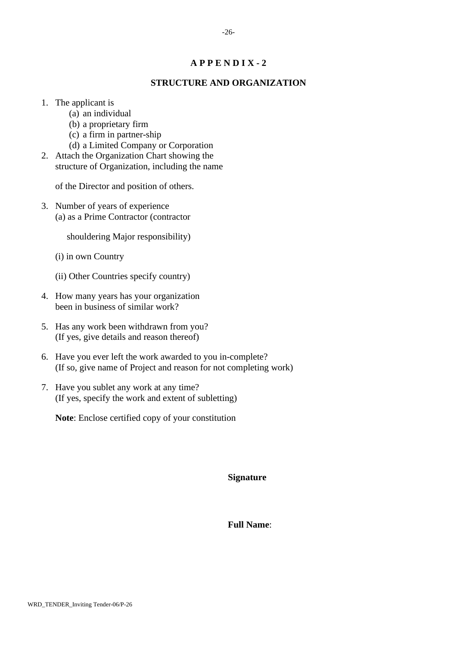## **STRUCTURE AND ORGANIZATION**

- 1. The applicant is
	- (a) an individual
	- (b) a proprietary firm
	- (c) a firm in partner-ship
	- (d) a Limited Company or Corporation
- 2. Attach the Organization Chart showing the structure of Organization, including the name

of the Director and position of others.

3. Number of years of experience (a) as a Prime Contractor (contractor

shouldering Major responsibility)

- (i) in own Country
- (ii) Other Countries specify country)
- 4. How many years has your organization been in business of similar work?
- 5. Has any work been withdrawn from you? (If yes, give details and reason thereof)
- 6. Have you ever left the work awarded to you in-complete? (If so, give name of Project and reason for not completing work)
- 7. Have you sublet any work at any time? (If yes, specify the work and extent of subletting)

**Note**: Enclose certified copy of your constitution

**Signature**

 **Full Name**: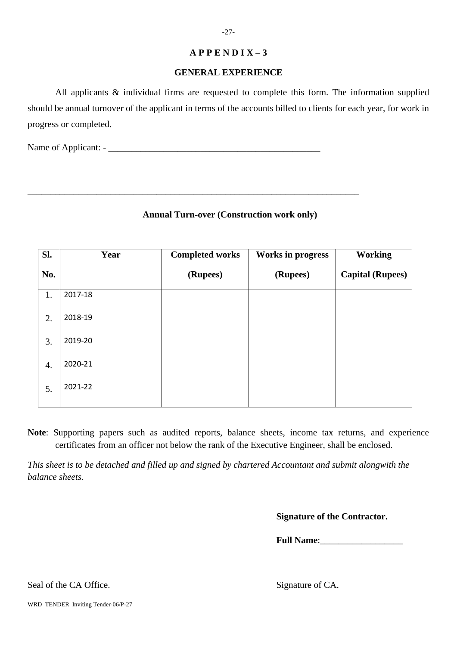## **GENERAL EXPERIENCE**

All applicants & individual firms are requested to complete this form. The information supplied should be annual turnover of the applicant in terms of the accounts billed to clients for each year, for work in progress or completed.

**Annual Turn-over (Construction work only)**

\_\_\_\_\_\_\_\_\_\_\_\_\_\_\_\_\_\_\_\_\_\_\_\_\_\_\_\_\_\_\_\_\_\_\_\_\_\_\_\_\_\_\_\_\_\_\_\_\_\_\_\_\_\_\_\_\_\_\_\_\_\_\_\_\_\_\_\_\_\_\_\_

Name of Applicant: - \_\_\_\_\_\_\_\_\_\_\_\_\_\_\_\_\_\_\_\_\_\_\_\_\_\_\_\_\_\_\_\_\_\_\_\_\_\_\_\_\_\_\_\_\_\_

| SI. | Year    | <b>Completed works</b> | <b>Works in progress</b> | <b>Working</b>          |
|-----|---------|------------------------|--------------------------|-------------------------|
| No. |         | (Rupees)               | (Rupees)                 | <b>Capital (Rupees)</b> |
| 1.  | 2017-18 |                        |                          |                         |
| 2.  | 2018-19 |                        |                          |                         |
| 3.  | 2019-20 |                        |                          |                         |
| 4.  | 2020-21 |                        |                          |                         |
| 5.  | 2021-22 |                        |                          |                         |

**Note**: Supporting papers such as audited reports, balance sheets, income tax returns, and experience certificates from an officer not below the rank of the Executive Engineer, shall be enclosed.

*This sheet is to be detached and filled up and signed by chartered Accountant and submit alongwith the balance sheets.*

**Signature of the Contractor.**

**Full Name:** 

Seal of the CA Office. Signature of CA.

WRD\_TENDER\_Inviting Tender-06/P-27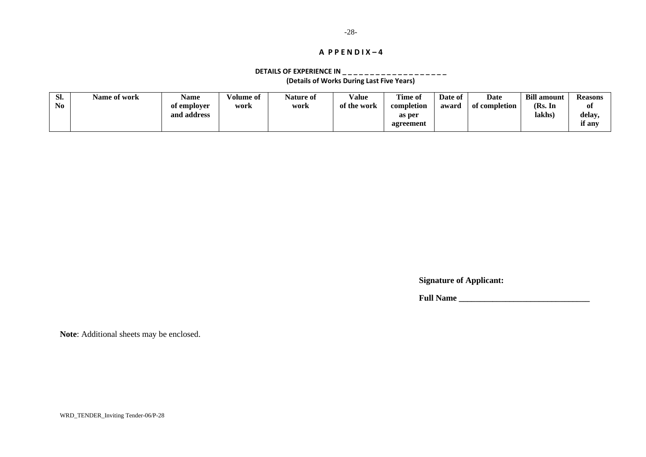#### **DETAILS OF EXPERIENCE IN \_ \_ \_ \_ \_ \_ \_ \_ \_ \_ \_ \_ \_ \_ \_ \_ \_ \_ \_ (Details of Works During Last Five Years)**

| Sl. | <b>Name of work</b> | Name        | /olume of | Nature of | <b>Value</b> | <b>Time of</b> | Date of | <b>Date</b>   | <b>Bill amount</b> | Reasons |
|-----|---------------------|-------------|-----------|-----------|--------------|----------------|---------|---------------|--------------------|---------|
| No  |                     | of employer | work      | work      | of the work  | completion     | award   | of completion | (Rs. In            | 0ľ      |
|     |                     | and address |           |           |              | as per         |         |               | lakhs)             | delay.  |
|     |                     |             |           |           |              | agreement      |         |               |                    | if any  |
|     |                     |             |           |           |              |                |         |               |                    |         |

**Signature of Applicant:**

**Full Name \_\_\_\_\_\_\_\_\_\_\_\_\_\_\_\_\_\_\_\_\_\_\_\_\_\_\_\_\_\_\_**

**Note**: Additional sheets may be enclosed.

WRD\_TENDER\_Inviting Tender-06/P-28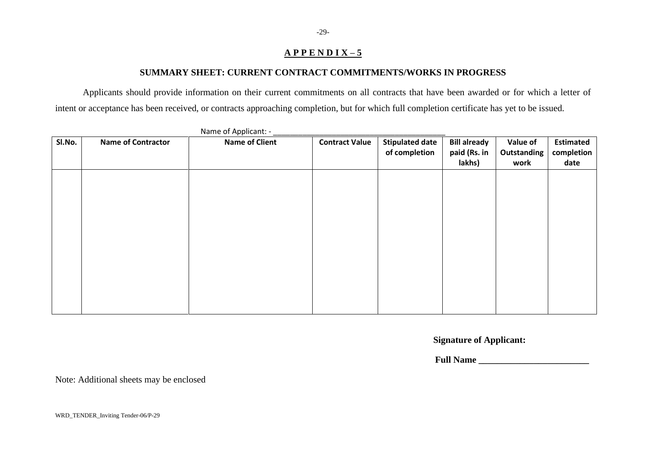## **SUMMARY SHEET: CURRENT CONTRACT COMMITMENTS/WORKS IN PROGRESS**

Applicants should provide information on their current commitments on all contracts that have been awarded or for which a letter of intent or acceptance has been received, or contracts approaching completion, but for which full completion certificate has yet to be issued.

| SI.No. | <b>Name of Contractor</b> | <b>Name of Client</b> | <b>Contract Value</b> | <b>Stipulated date</b><br>of completion | <b>Bill already</b><br>paid (Rs. in | <b>Value of</b><br>Outstanding | <b>Estimated</b><br>completion |
|--------|---------------------------|-----------------------|-----------------------|-----------------------------------------|-------------------------------------|--------------------------------|--------------------------------|
|        |                           |                       |                       |                                         | lakhs)                              | work                           | date                           |
|        |                           |                       |                       |                                         |                                     |                                |                                |
|        |                           |                       |                       |                                         |                                     |                                |                                |
|        |                           |                       |                       |                                         |                                     |                                |                                |
|        |                           |                       |                       |                                         |                                     |                                |                                |
|        |                           |                       |                       |                                         |                                     |                                |                                |
|        |                           |                       |                       |                                         |                                     |                                |                                |
|        |                           |                       |                       |                                         |                                     |                                |                                |
|        |                           |                       |                       |                                         |                                     |                                |                                |
|        |                           |                       |                       |                                         |                                     |                                |                                |
|        |                           |                       |                       |                                         |                                     |                                |                                |
|        |                           |                       |                       |                                         |                                     |                                |                                |
|        |                           |                       |                       |                                         |                                     |                                |                                |
|        |                           |                       |                       |                                         |                                     |                                |                                |
|        |                           |                       |                       |                                         |                                     |                                |                                |
|        |                           |                       |                       |                                         |                                     |                                |                                |
|        |                           |                       |                       |                                         |                                     |                                |                                |
|        |                           |                       |                       |                                         |                                     |                                |                                |

Name of Applicant: -

**Signature of Applicant:**

**Full Name** 

Note: Additional sheets may be enclosed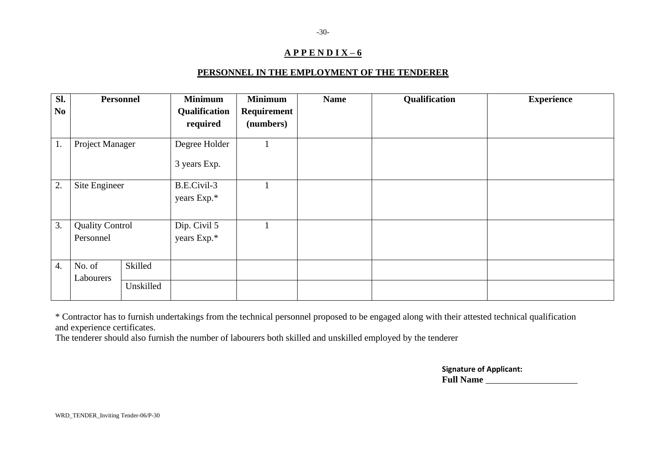## **PERSONNEL IN THE EMPLOYMENT OF THE TENDERER**

| Sl.              |                        | <b>Personnel</b> | <b>Minimum</b> | <b>Minimum</b> | <b>Name</b> | Qualification | <b>Experience</b> |
|------------------|------------------------|------------------|----------------|----------------|-------------|---------------|-------------------|
| No.              |                        |                  | Qualification  | Requirement    |             |               |                   |
|                  |                        |                  | required       | (numbers)      |             |               |                   |
| 1.               | Project Manager        |                  | Degree Holder  |                |             |               |                   |
|                  |                        |                  | 3 years Exp.   |                |             |               |                   |
| 2.               | Site Engineer          |                  | B.E.Civil-3    |                |             |               |                   |
|                  |                        |                  | years Exp.*    |                |             |               |                   |
| 3.               | <b>Quality Control</b> |                  | Dip. Civil 5   |                |             |               |                   |
|                  | Personnel              |                  | years Exp.*    |                |             |               |                   |
|                  |                        |                  |                |                |             |               |                   |
| $\overline{4}$ . | No. of                 | Skilled          |                |                |             |               |                   |
|                  | Labourers              |                  |                |                |             |               |                   |
|                  |                        | Unskilled        |                |                |             |               |                   |

\* Contractor has to furnish undertakings from the technical personnel proposed to be engaged along with their attested technical qualification and experience certificates.

The tenderer should also furnish the number of labourers both skilled and unskilled employed by the tenderer

**Signature of Applicant: Full Name** \_\_\_\_\_\_\_\_\_\_\_\_\_\_\_\_\_\_\_\_

-30-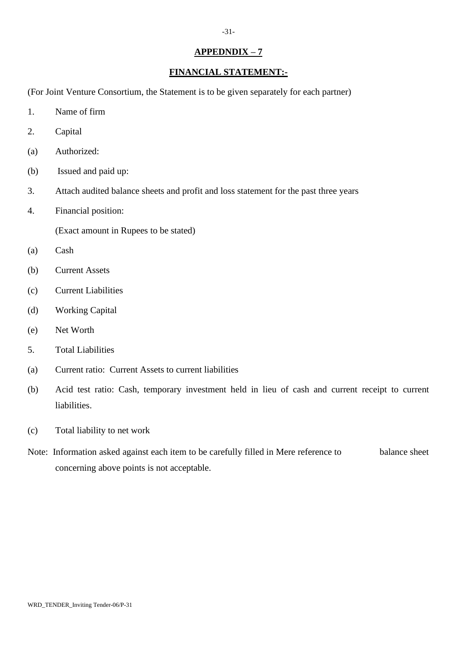## **APPEDNDIX – 7**

# **FINANCIAL STATEMENT:-**

(For Joint Venture Consortium, the Statement is to be given separately for each partner)

- 1. Name of firm
- 2. Capital
- (a) Authorized:
- (b) Issued and paid up:
- 3. Attach audited balance sheets and profit and loss statement for the past three years
- 4. Financial position:

(Exact amount in Rupees to be stated)

- (a) Cash
- (b) Current Assets
- (c) Current Liabilities
- (d) Working Capital
- (e) Net Worth
- 5. Total Liabilities
- (a) Current ratio: Current Assets to current liabilities
- (b) Acid test ratio: Cash, temporary investment held in lieu of cash and current receipt to current liabilities.
- (c) Total liability to net work
- Note: Information asked against each item to be carefully filled in Mere reference to balance sheet concerning above points is not acceptable.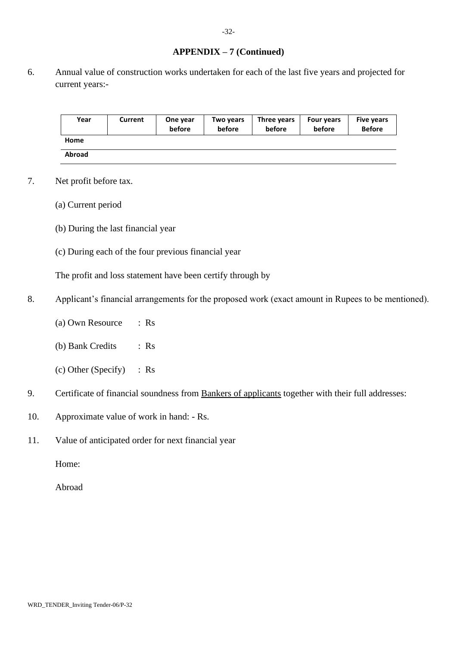## **APPENDIX – 7 (Continued)**

6. Annual value of construction works undertaken for each of the last five years and projected for current years:-

| Year          | Current | One year<br>before | Two years<br>before | Three years<br>before | <b>Four years</b><br>before | <b>Five years</b><br><b>Before</b> |
|---------------|---------|--------------------|---------------------|-----------------------|-----------------------------|------------------------------------|
| Home          |         |                    |                     |                       |                             |                                    |
| <b>Abroad</b> |         |                    |                     |                       |                             |                                    |

- 7. Net profit before tax.
	- (a) Current period
	- (b) During the last financial year
	- (c) During each of the four previous financial year

The profit and loss statement have been certify through by

- 8. Applicant's financial arrangements for the proposed work (exact amount in Rupees to be mentioned).
	- (a) Own Resource : Rs
	- (b) Bank Credits : Rs
	- (c) Other (Specify) : Rs
- 9. Certificate of financial soundness from Bankers of applicants together with their full addresses:
- 10. Approximate value of work in hand: Rs.
- 11. Value of anticipated order for next financial year

Home:

Abroad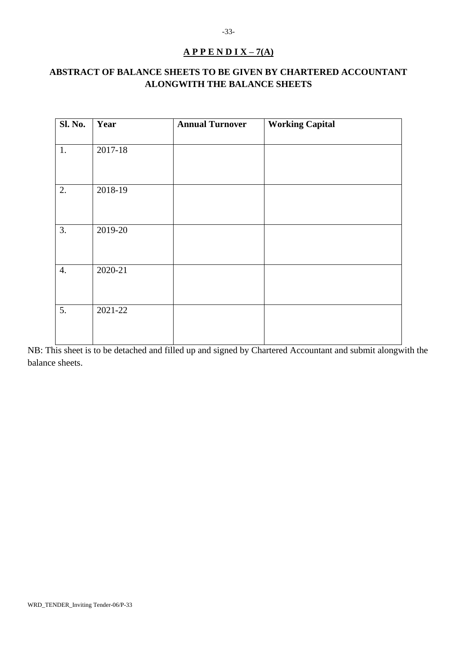# **A P P E N D I X – 7(A)**

# **ABSTRACT OF BALANCE SHEETS TO BE GIVEN BY CHARTERED ACCOUNTANT ALONGWITH THE BALANCE SHEETS**

| <b>Sl. No.</b>   | Year    | <b>Annual Turnover</b> | <b>Working Capital</b> |
|------------------|---------|------------------------|------------------------|
| 1.               | 2017-18 |                        |                        |
| 2.               | 2018-19 |                        |                        |
| 3.               | 2019-20 |                        |                        |
| $\overline{4}$ . | 2020-21 |                        |                        |
| 5.               | 2021-22 |                        |                        |

NB: This sheet is to be detached and filled up and signed by Chartered Accountant and submit alongwith the balance sheets.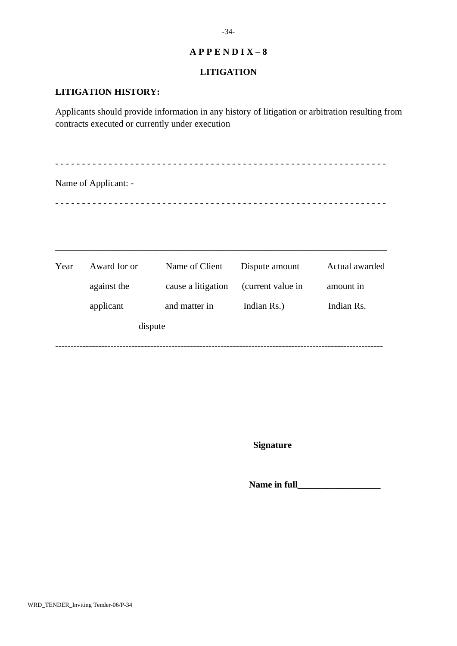## **LITIGATION**

## **LITIGATION HISTORY:**

Applicants should provide information in any history of litigation or arbitration resulting from contracts executed or currently under execution

- - - - - - - - - - - - - - - - - - - - - - - - - - - - - - - - - - - - - - - - - - - - - - - - - - - - - - - - - - - - - - Name of Applicant: - - - - - - - - - - - - - - - - - - - - - - - - - - - - - - - - - - - - - - - - - - - - - - - - - - - - - - - - - - - - - - -

| Year | Award for or | Name of Client     | Dispute amount    | Actual awarded |
|------|--------------|--------------------|-------------------|----------------|
|      | against the  | cause a litigation | (current value in | amount in      |
|      | applicant    | and matter in      | Indian Rs.)       | Indian Rs.     |
|      | dispute      |                    |                   |                |
|      |              |                    |                   |                |

\_\_\_\_\_\_\_\_\_\_\_\_\_\_\_\_\_\_\_\_\_\_\_\_\_\_\_\_\_\_\_\_\_\_\_\_\_\_\_\_\_\_\_\_\_\_\_\_\_\_\_\_\_\_\_\_\_\_\_\_\_\_\_\_\_\_\_\_\_\_\_\_

**Signature**

Name in full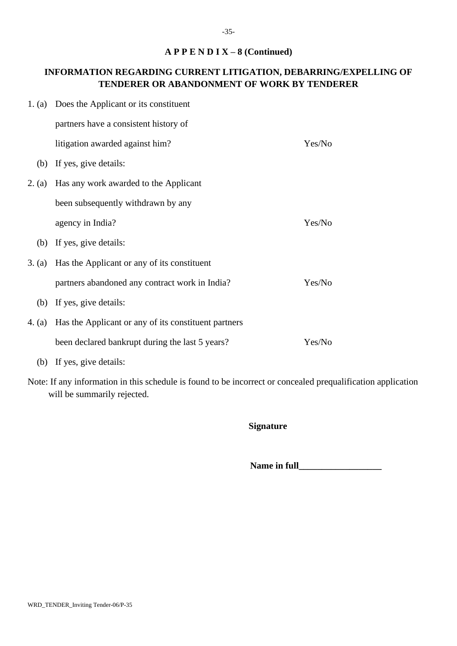## **A P P E N D I X – 8 (Continued)**

# **INFORMATION REGARDING CURRENT LITIGATION, DEBARRING/EXPELLING OF TENDERER OR ABANDONMENT OF WORK BY TENDERER**

| 1. (a) Does the Applicant or its constituent                |        |
|-------------------------------------------------------------|--------|
| partners have a consistent history of                       |        |
| litigation awarded against him?                             | Yes/No |
| (b) If yes, give details:                                   |        |
| 2. (a) Has any work awarded to the Applicant                |        |
| been subsequently withdrawn by any                          |        |
| agency in India?                                            | Yes/No |
| (b) If yes, give details:                                   |        |
| 3. (a) Has the Applicant or any of its constituent          |        |
| partners abandoned any contract work in India?              | Yes/No |
| (b) If yes, give details:                                   |        |
| 4. (a) Has the Applicant or any of its constituent partners |        |
| been declared bankrupt during the last 5 years?             | Yes/No |
|                                                             |        |

- (b) If yes, give details:
- Note: If any information in this schedule is found to be incorrect or concealed prequalification application will be summarily rejected.

## **Signature**

Name in full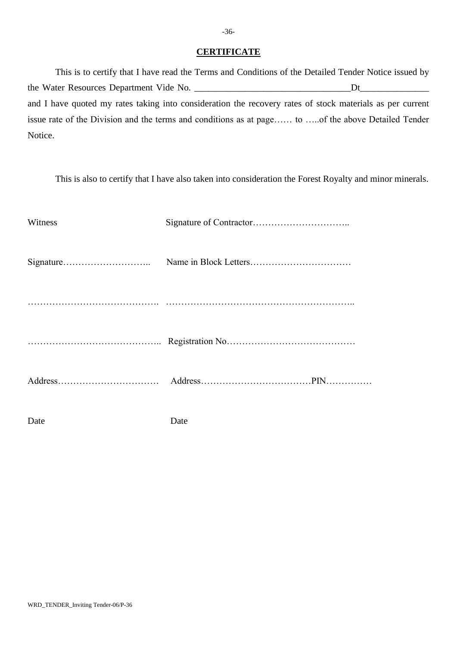#### **CERTIFICATE**

This is to certify that I have read the Terms and Conditions of the Detailed Tender Notice issued by the Water Resources Department Vide No. \_\_\_\_\_\_\_\_\_\_\_\_\_\_\_\_\_\_\_\_\_\_\_\_\_\_\_\_\_\_\_\_\_\_Dt\_\_\_\_\_\_\_\_\_\_\_\_\_\_\_ and I have quoted my rates taking into consideration the recovery rates of stock materials as per current issue rate of the Division and the terms and conditions as at page…… to …..of the above Detailed Tender Notice.

This is also to certify that I have also taken into consideration the Forest Royalty and minor minerals.

| Witness |      |
|---------|------|
|         |      |
|         |      |
|         |      |
|         |      |
| Date    | Date |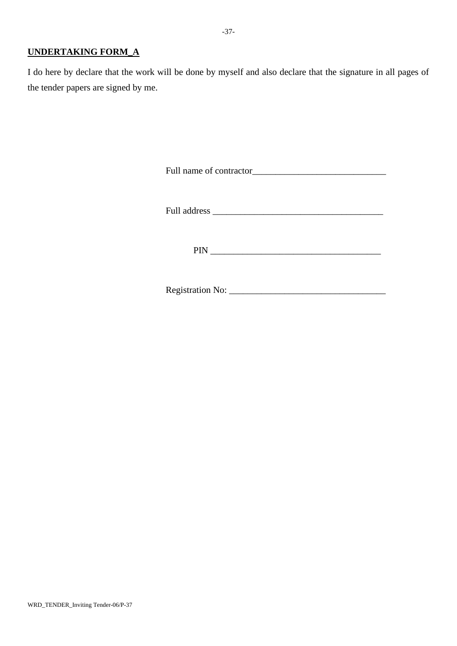## **UNDERTAKING FORM\_A**

I do here by declare that the work will be done by myself and also declare that the signature in all pages of the tender papers are signed by me.

Full name of contractor\_\_\_\_\_\_\_\_\_\_\_\_\_\_\_\_\_\_\_\_\_\_\_\_\_\_\_\_\_

Full address \_\_\_\_\_\_\_\_\_\_\_\_\_\_\_\_\_\_\_\_\_\_\_\_\_\_\_\_\_\_\_\_\_\_\_\_\_

PIN \_\_\_\_\_\_\_\_\_\_\_\_\_\_\_\_\_\_\_\_\_\_\_\_\_\_\_\_\_\_\_\_\_\_\_\_\_

Registration No: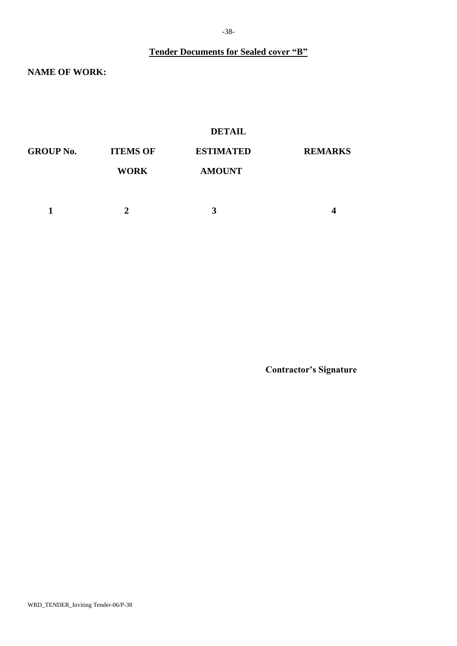**Tender Documents for Sealed cover "B"**

**NAME OF WORK:**

## **DETAIL**

| <b>GROUP No.</b> | <b>ITEMS OF</b> | <b>ESTIMATED</b> | <b>REMARKS</b> |
|------------------|-----------------|------------------|----------------|
|                  | <b>WORK</b>     | <b>AMOUNT</b>    |                |
|                  |                 |                  |                |
|                  |                 | 3                | Δ              |

**Contractor's Signature**